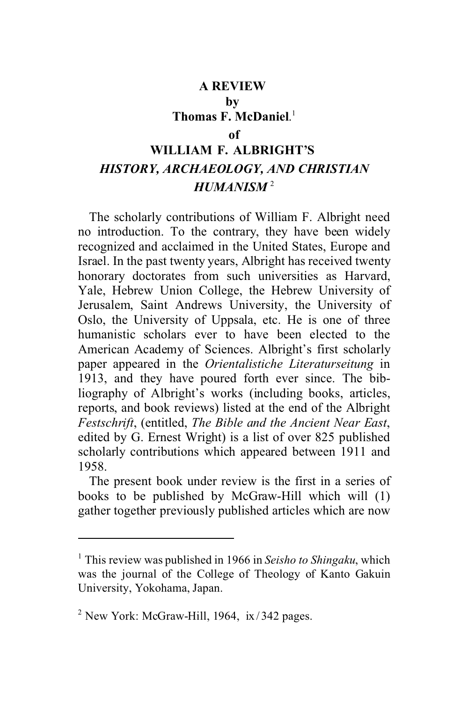# **A REVIEW by Thomas F. McDaniel**. 1  **of WILLIAM F. ALBRIGHT'S**  *HISTORY, ARCHAEOLOGY, AND CHRISTIAN*

# *HUMANISM* <sup>2</sup>

The scholarly contributions of William F. Albright need no introduction. To the contrary, they have been widely recognized and acclaimed in the United States, Europe and Israel. In the past twenty years, Albright has received twenty honorary doctorates from such universities as Harvard, Yale, Hebrew Union College, the Hebrew University of Jerusalem, Saint Andrews University, the University of Oslo, the University of Uppsala, etc. He is one of three humanistic scholars ever to have been elected to the American Academy of Sciences. Albright's first scholarly paper appeared in the *Orientalistiche Literaturseitung* in 1913, and they have poured forth ever since. The bibliography of Albright's works (including books, articles, reports, and book reviews) listed at the end of the Albright *Festschrift*, (entitled, *The Bible and the Ancient Near East*, edited by G. Ernest Wright) is a list of over 825 published scholarly contributions which appeared between 1911 and 1958.

The present book under review is the first in a series of books to be published by McGraw-Hill which will (1) gather together previously published articles which are now

<sup>1</sup> This review was published in 1966 in *Seisho to Shingaku*, which was the journal of the College of Theology of Kanto Gakuin University, Yokohama, Japan.

<sup>&</sup>lt;sup>2</sup> New York: McGraw-Hill, 1964, ix/342 pages.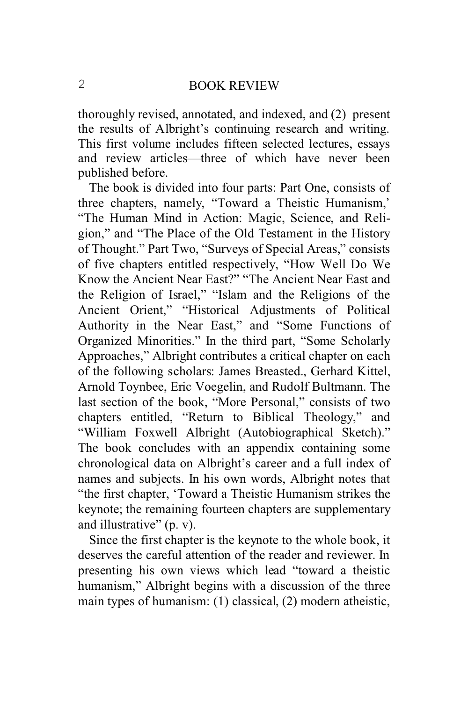thoroughly revised, annotated, and indexed, and (2) present the results of Albright's continuing research and writing. This first volume includes fifteen selected lectures, essays and review articles—three of which have never been published before.

The book is divided into four parts: Part One, consists of three chapters, namely, "Toward a Theistic Humanism,' "The Human Mind in Action: Magic, Science, and Religion," and "The Place of the Old Testament in the History of Thought." Part Two, "Surveys of Special Areas," consists of five chapters entitled respectively, "How Well Do We Know the Ancient Near East?" "The Ancient Near East and the Religion of Israel," "Islam and the Religions of the Ancient Orient," "Historical Adjustments of Political Authority in the Near East," and "Some Functions of Organized Minorities." In the third part, "Some Scholarly Approaches," Albright contributes a critical chapter on each of the following scholars: James Breasted., Gerhard Kittel, Arnold Toynbee, Eric Voegelin, and Rudolf Bultmann. The last section of the book, "More Personal," consists of two chapters entitled, "Return to Biblical Theology," and "William Foxwell Albright (Autobiographical Sketch)." The book concludes with an appendix containing some chronological data on Albright's career and a full index of names and subjects. In his own words, Albright notes that "the first chapter, 'Toward a Theistic Humanism strikes the keynote; the remaining fourteen chapters are supplementary and illustrative" (p. v).

Since the first chapter is the keynote to the whole book, it deserves the careful attention of the reader and reviewer. In presenting his own views which lead "toward a theistic humanism," Albright begins with a discussion of the three main types of humanism: (1) classical, (2) modern atheistic,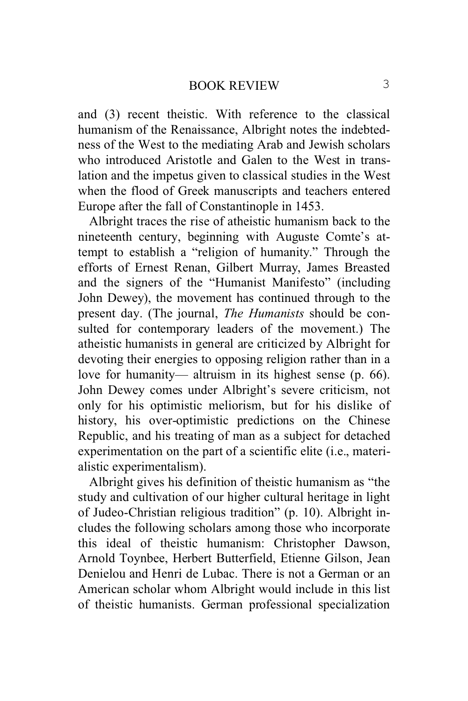and (3) recent theistic. With reference to the classical humanism of the Renaissance, Albright notes the indebtedness of the West to the mediating Arab and Jewish scholars who introduced Aristotle and Galen to the West in translation and the impetus given to classical studies in the West when the flood of Greek manuscripts and teachers entered Europe after the fall of Constantinople in 1453.

Albright traces the rise of atheistic humanism back to the nineteenth century, beginning with Auguste Comte's attempt to establish a "religion of humanity." Through the efforts of Ernest Renan, Gilbert Murray, James Breasted and the signers of the "Humanist Manifesto" (including John Dewey), the movement has continued through to the present day. (The journal, *The Humanists* should be consulted for contemporary leaders of the movement.) The atheistic humanists in general are criticized by Albright for devoting their energies to opposing religion rather than in a love for humanity— altruism in its highest sense (p. 66). John Dewey comes under Albright's severe criticism, not only for his optimistic meliorism, but for his dislike of history, his over-optimistic predictions on the Chinese Republic, and his treating of man as a subject for detached experimentation on the part of a scientific elite (i.e., materialistic experimentalism).

Albright gives his definition of theistic humanism as "the study and cultivation of our higher cultural heritage in light of Judeo-Christian religious tradition" (p. 10). Albright includes the following scholars among those who incorporate this ideal of theistic humanism: Christopher Dawson, Arnold Toynbee, Herbert Butterfield, Etienne Gilson, Jean Denielou and Henri de Lubac. There is not a German or an American scholar whom Albright would include in this list of theistic humanists. German professional specialization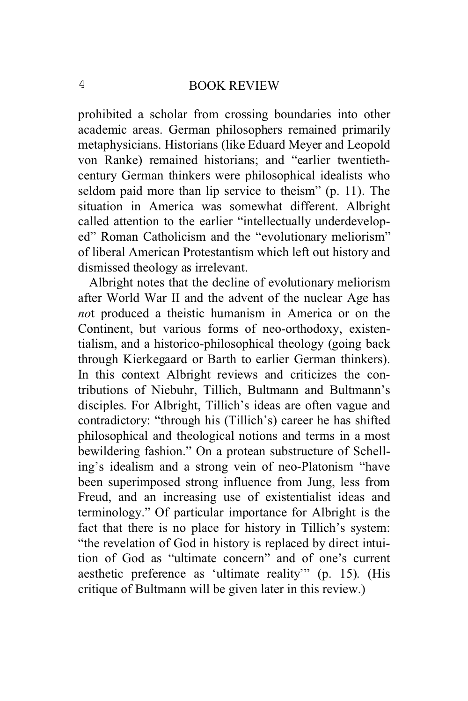prohibited a scholar from crossing boundaries into other academic areas. German philosophers remained primarily metaphysicians. Historians (like Eduard Meyer and Leopold von Ranke) remained historians; and "earlier twentiethcentury German thinkers were philosophical idealists who seldom paid more than lip service to theism" (p. 11). The situation in America was somewhat different. Albright called attention to the earlier "intellectually underdeveloped" Roman Catholicism and the "evolutionary meliorism" of liberal American Protestantism which left out history and dismissed theology as irrelevant.

Albright notes that the decline of evolutionary meliorism after World War II and the advent of the nuclear Age has *no*t produced a theistic humanism in America or on the Continent, but various forms of neo-orthodoxy, existentialism, and a historico-philosophical theology (going back through Kierkegaard or Barth to earlier German thinkers). In this context Albright reviews and criticizes the contributions of Niebuhr, Tillich, Bultmann and Bultmann's disciples. For Albright, Tillich's ideas are often vague and contradictory: "through his (Tillich's) career he has shifted philosophical and theological notions and terms in a most bewildering fashion." On a protean substructure of Schelling's idealism and a strong vein of neo-Platonism "have been superimposed strong influence from Jung, less from Freud, and an increasing use of existentialist ideas and terminology." Of particular importance for Albright is the fact that there is no place for history in Tillich's system: "the revelation of God in history is replaced by direct intuition of God as "ultimate concern" and of one's current aesthetic preference as 'ultimate reality'" (p. 15). (His critique of Bultmann will be given later in this review.)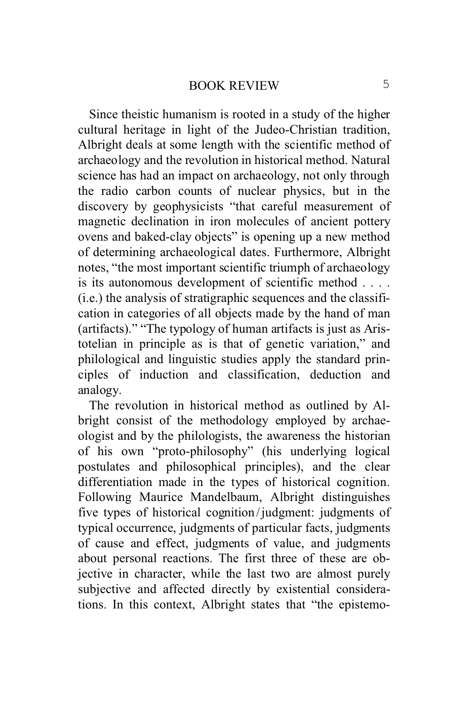Since theistic humanism is rooted in a study of the higher cultural heritage in light of the Judeo-Christian tradition, Albright deals at some length with the scientific method of archaeology and the revolution in historical method. Natural science has had an impact on archaeology, not only through the radio carbon counts of nuclear physics, but in the discovery by geophysicists "that careful measurement of magnetic declination in iron molecules of ancient pottery ovens and baked-clay objects" is opening up a new method of determining archaeological dates. Furthermore, Albright notes, "the most important scientific triumph of archaeology is its autonomous development of scientific method . . . . (i.e.) the analysis of stratigraphic sequences and the classification in categories of all objects made by the hand of man (artifacts)." "The typology of human artifacts is just as Aristotelian in principle as is that of genetic variation," and philological and linguistic studies apply the standard principles of induction and classification, deduction and analogy.

The revolution in historical method as outlined by Albright consist of the methodology employed by archaeologist and by the philologists, the awareness the historian of his own "proto-philosophy" (his underlying logical postulates and philosophical principles), and the clear differentiation made in the types of historical cognition. Following Maurice Mandelbaum, Albright distinguishes five types of historical cognition /judgment: judgments of typical occurrence, judgments of particular facts, judgments of cause and effect, judgments of value, and judgments about personal reactions. The first three of these are objective in character, while the last two are almost purely subjective and affected directly by existential considerations. In this context, Albright states that "the epistemo-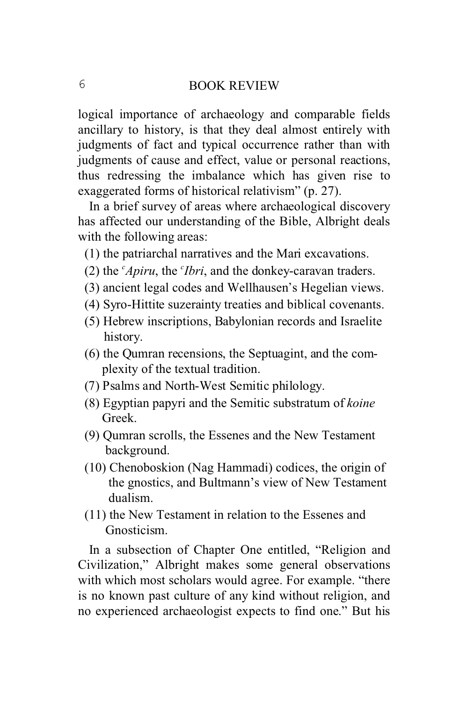logical importance of archaeology and comparable fields ancillary to history, is that they deal almost entirely with judgments of fact and typical occurrence rather than with judgments of cause and effect, value or personal reactions, thus redressing the imbalance which has given rise to exaggerated forms of historical relativism" (p. 27).

In a brief survey of areas where archaeological discovery has affected our understanding of the Bible, Albright deals with the following areas:

- (1) the patriarchal narratives and the Mari excavations.
- (2) the *<sup>c</sup>Apiru*, the *<sup>c</sup> Ibri*, and the donkey-caravan traders.
	- (3) ancient legal codes and Wellhausen's Hegelian views.
	- (4) Syro-Hittite suzerainty treaties and biblical covenants.
	- (5) Hebrew inscriptions, Babylonian records and Israelite history.
	- (6) the Qumran recensions, the Septuagint, and the com plexity of the textual tradition.
	- (7) Psalms and North-West Semitic philology.
	- (8) Egyptian papyri and the Semitic substratum of *koine* Greek.
	- (9) Qumran scrolls, the Essenes and the New Testament background.
	- (10) Chenoboskion (Nag Hammadi) codices, the origin of the gnostics, and Bultmann's view of New Testament dualism.
	- (11) the New Testament in relation to the Essenes and Gnosticism.

In a subsection of Chapter One entitled, "Religion and Civilization," Albright makes some general observations with which most scholars would agree. For example. "there is no known past culture of any kind without religion, and no experienced archaeologist expects to find one." But his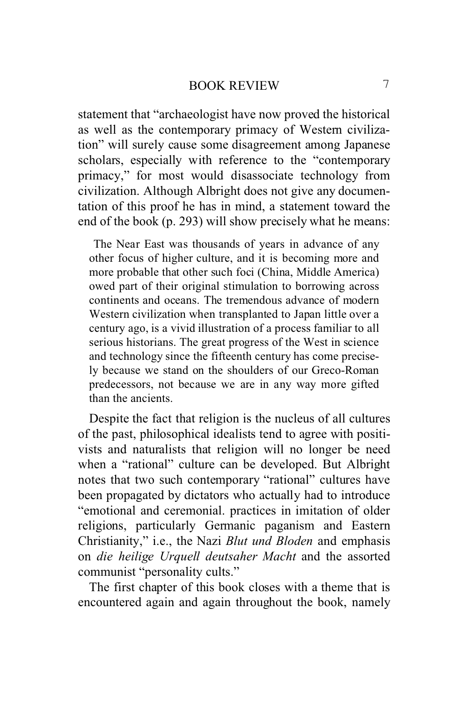statement that "archaeologist have now proved the historical as well as the contemporary primacy of Western civilization" will surely cause some disagreement among Japanese scholars, especially with reference to the "contemporary primacy," for most would disassociate technology from civilization. Although Albright does not give any documentation of this proof he has in mind, a statement toward the end of the book (p. 293) will show precisely what he means:

 The Near East was thousands of years in advance of any other focus of higher culture, and it is becoming more and more probable that other such foci (China, Middle America) owed part of their original stimulation to borrowing across continents and oceans. The tremendous advance of modern Western civilization when transplanted to Japan little over a century ago, is a vivid illustration of a process familiar to all serious historians. The great progress of the West in science and technology since the fifteenth century has come precisely because we stand on the shoulders of our Greco-Roman predecessors, not because we are in any way more gifted than the ancients.

Despite the fact that religion is the nucleus of all cultures of the past, philosophical idealists tend to agree with positivists and naturalists that religion will no longer be need when a "rational" culture can be developed. But Albright notes that two such contemporary "rational" cultures have been propagated by dictators who actually had to introduce "emotional and ceremonial. practices in imitation of older religions, particularly Germanic paganism and Eastern Christianity," i.e., the Nazi *Blut und Bloden* and emphasis on *die heilige Urquell deutsaher Macht* and the assorted communist "personality cults."

The first chapter of this book closes with a theme that is encountered again and again throughout the book, namely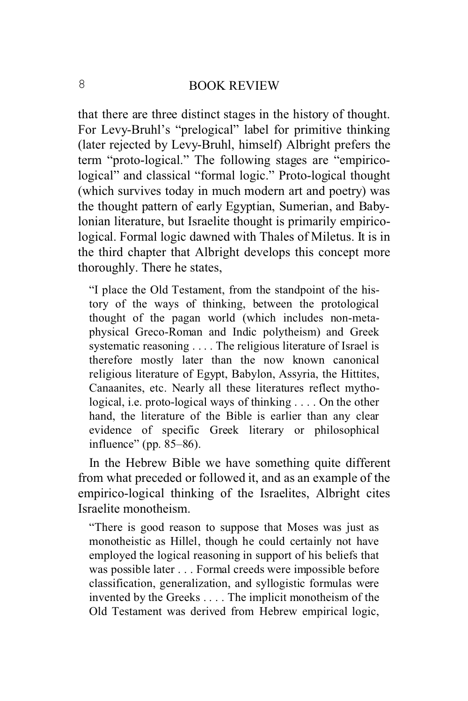that there are three distinct stages in the history of thought. For Levy-Bruhl's "prelogical" label for primitive thinking (later rejected by Levy-Bruhl, himself) Albright prefers the term "proto-logical." The following stages are "empiricological" and classical "formal logic." Proto-logical thought (which survives today in much modern art and poetry) was the thought pattern of early Egyptian, Sumerian, and Babylonian literature, but Israelite thought is primarily empiricological. Formal logic dawned with Thales of Miletus. It is in the third chapter that Albright develops this concept more thoroughly. There he states,

"I place the Old Testament, from the standpoint of the history of the ways of thinking, between the protological thought of the pagan world (which includes non-metaphysical Greco-Roman and Indic polytheism) and Greek systematic reasoning . . . . The religious literature of Israel is therefore mostly later than the now known canonical religious literature of Egypt, Babylon, Assyria, the Hittites, Canaanites, etc. Nearly all these literatures reflect mythological, i.e. proto-logical ways of thinking . . . . On the other hand, the literature of the Bible is earlier than any clear evidence of specific Greek literary or philosophical influence" (pp. 85–86).

In the Hebrew Bible we have something quite different from what preceded or followed it, and as an example of the empirico-logical thinking of the Israelites, Albright cites Israelite monotheism.

"There is good reason to suppose that Moses was just as monotheistic as Hillel, though he could certainly not have employed the logical reasoning in support of his beliefs that was possible later . . . Formal creeds were impossible before classification, generalization, and syllogistic formulas were invented by the Greeks . . . . The implicit monotheism of the Old Testament was derived from Hebrew empirical logic,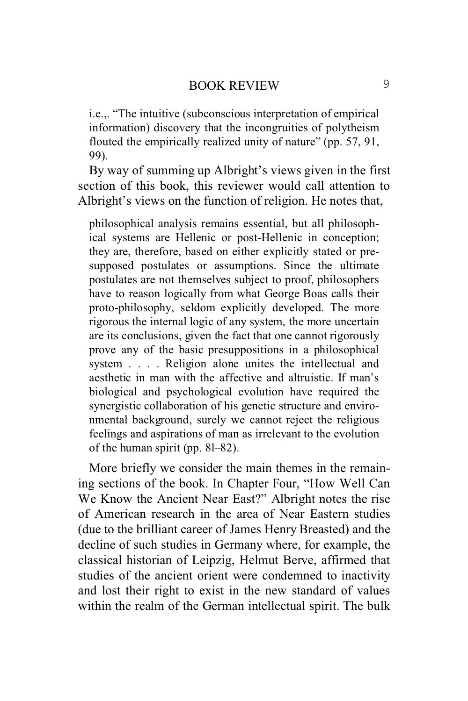i.e.,. "The intuitive (subconscious interpretation of empirical information) discovery that the incongruities of polytheism flouted the empirically realized unity of nature" (pp. 57, 91, 99).

By way of summing up Albright's views given in the first section of this book, this reviewer would call attention to Albright's views on the function of religion. He notes that,

philosophical analysis remains essential, but all philosophical systems are Hellenic or post-Hellenic in conception; they are, therefore, based on either explicitly stated or presupposed postulates or assumptions. Since the ultimate postulates are not themselves subject to proof, philosophers have to reason logically from what George Boas calls their proto-philosophy, seldom explicitly developed. The more rigorous the internal logic of any system, the more uncertain are its conclusions, given the fact that one cannot rigorously prove any of the basic presuppositions in a philosophical system . . . . Religion alone unites the intellectual and aesthetic in man with the affective and altruistic. If man's biological and psychological evolution have required the synergistic collaboration of his genetic structure and environmental background, surely we cannot reject the religious feelings and aspirations of man as irrelevant to the evolution of the human spirit (pp. 8l–82).

More briefly we consider the main themes in the remaining sections of the book. In Chapter Four, "How Well Can We Know the Ancient Near East?" Albright notes the rise of American research in the area of Near Eastern studies (due to the brilliant career of James Henry Breasted) and the decline of such studies in Germany where, for example, the classical historian of Leipzig, Helmut Berve, affirmed that studies of the ancient orient were condemned to inactivity and lost their right to exist in the new standard of values within the realm of the German intellectual spirit. The bulk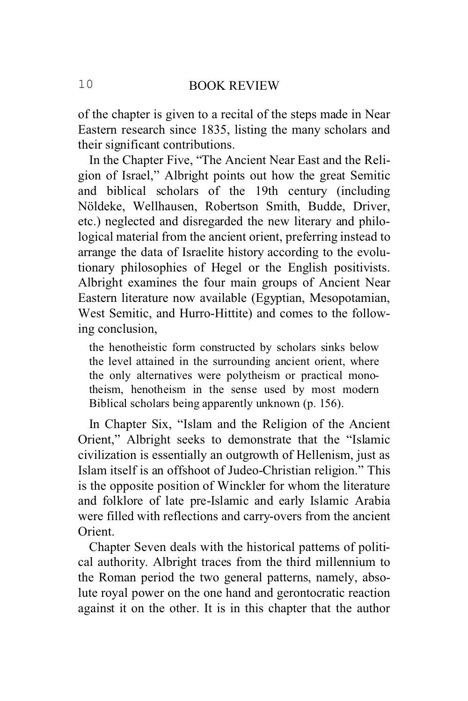of the chapter is given to a recital of the steps made in Near Eastern research since 1835, listing the many scholars and their significant contributions.

In the Chapter Five, "The Ancient Near East and the Religion of Israel," Albright points out how the great Semitic and biblical scholars of the 19th century (including Nöldeke, Wellhausen, Robertson Smith, Budde, Driver, etc.) neglected and disregarded the new literary and philological material from the ancient orient, preferring instead to arrange the data of Israelite history according to the evolutionary philosophies of Hegel or the English positivists. Albright examines the four main groups of Ancient Near Eastern literature now available (Egyptian, Mesopotamian, West Semitic, and Hurro-Hittite) and comes to the following conclusion,

the henotheistic form constructed by scholars sinks below the level attained in the surrounding ancient orient, where the only alternatives were polytheism or practical monotheism, henotheism in the sense used by most modern Biblical scholars being apparently unknown (p. 156).

In Chapter Six, "Islam and the Religion of the Ancient Orient," Albright seeks to demonstrate that the "Islamic civilization is essentially an outgrowth of Hellenism, just as Islam itself is an offshoot of Judeo-Christian religion." This is the opposite position of Winckler for whom the literature and folklore of late pre-Islamic and early Islamic Arabia were filled with reflections and carry-overs from the ancient **Orient** 

Chapter Seven deals with the historical patterns of political authority. Albright traces from the third millennium to the Roman period the two general patterns, namely, absolute royal power on the one hand and gerontocratic reaction against it on the other. It is in this chapter that the author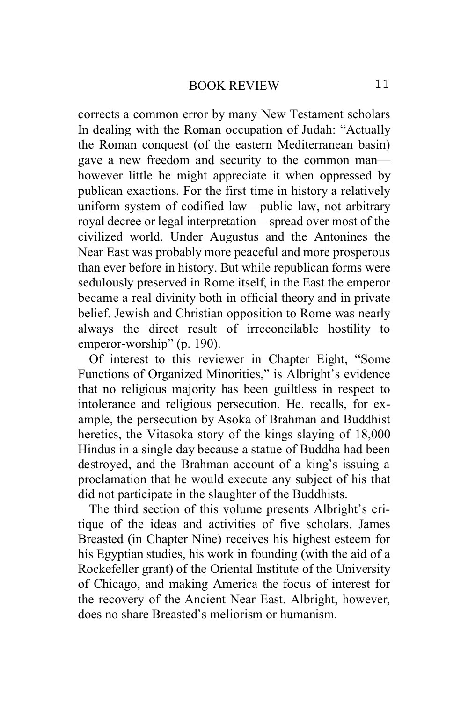corrects a common error by many New Testament scholars In dealing with the Roman occupation of Judah: "Actually the Roman conquest (of the eastern Mediterranean basin) gave a new freedom and security to the common man however little he might appreciate it when oppressed by publican exactions. For the first time in history a relatively uniform system of codified law—public law, not arbitrary royal decree or legal interpretation—spread over most of the civilized world. Under Augustus and the Antonines the Near East was probably more peaceful and more prosperous than ever before in history. But while republican forms were sedulously preserved in Rome itself, in the East the emperor became a real divinity both in official theory and in private belief. Jewish and Christian opposition to Rome was nearly always the direct result of irreconcilable hostility to emperor-worship" (p. 190).

Of interest to this reviewer in Chapter Eight, "Some Functions of Organized Minorities," is Albright's evidence that no religious majority has been guiltless in respect to intolerance and religious persecution. He. recalls, for example, the persecution by Asoka of Brahman and Buddhist heretics, the Vitasoka story of the kings slaying of 18,000 Hindus in a single day because a statue of Buddha had been destroyed, and the Brahman account of a king's issuing a proclamation that he would execute any subject of his that did not participate in the slaughter of the Buddhists.

The third section of this volume presents Albright's critique of the ideas and activities of five scholars. James Breasted (in Chapter Nine) receives his highest esteem for his Egyptian studies, his work in founding (with the aid of a Rockefeller grant) of the Oriental Institute of the University of Chicago, and making America the focus of interest for the recovery of the Ancient Near East. Albright, however, does no share Breasted\*s meliorism or humanism.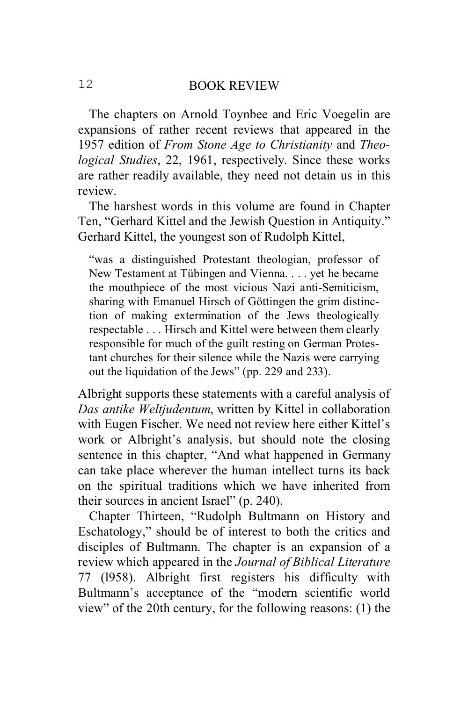The chapters on Arnold Toynbee and Eric Voegelin are expansions of rather recent reviews that appeared in the 1957 edition of *From Stone Age to Christianity* and *Theological Studies*, 22, 1961, respectively. Since these works are rather readily available, they need not detain us in this review.

The harshest words in this volume are found in Chapter Ten, "Gerhard Kittel and the Jewish Question in Antiquity." Gerhard Kittel, the youngest son of Rudolph Kittel,

"was a distinguished Protestant theologian, professor of New Testament at Tübingen and Vienna. . . . yet he became the mouthpiece of the most vicious Nazi anti-Semiticism, sharing with Emanuel Hirsch of Göttingen the grim distinction of making extermination of the Jews theologically respectable . . . Hirsch and Kittel were between them clearly responsible for much of the guilt resting on German Protestant churches for their silence while the Nazis were carrying out the liquidation of the Jews" (pp. 229 and 233).

Albright supports these statements with a careful analysis of *Das antike Weltjudentum*, written by Kittel in collaboration with Eugen Fischer. We need not review here either Kittel's work or Albright's analysis, but should note the closing sentence in this chapter, "And what happened in Germany can take place wherever the human intellect turns its back on the spiritual traditions which we have inherited from their sources in ancient Israel" (p. 240).

Chapter Thirteen, "Rudolph Bultmann on History and Eschatology," should be of interest to both the critics and disciples of Bultmann. The chapter is an expansion of a review which appeared in the *Journal of Biblical Literature* 77 (l958). Albright first registers his difficulty with Bultmann's acceptance of the "modern scientific world view" of the 20th century, for the following reasons: (1) the